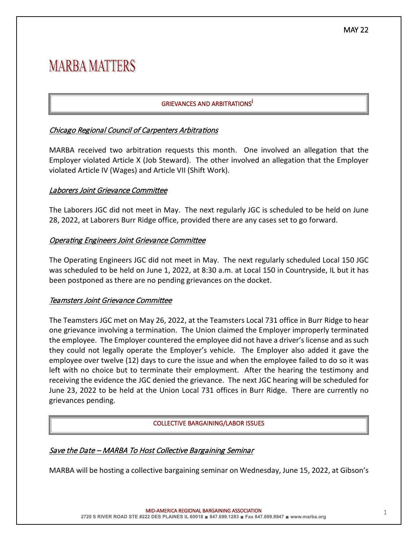# **MARBA MATTERS**

# GRIEVANCES AND ARBITRATIONS<sup>İ</sup>

# Chicago Regional Council of Carpenters Arbitrations

MARBA received two arbitration requests this month. One involved an allegation that the Employer violated Article X (Job Steward). The other involved an allegation that the Employer violated Article IV (Wages) and Article VII (Shift Work).

## Laborers Joint Grievance Committee

The Laborers JGC did not meet in May. The next regularly JGC is scheduled to be held on June 28, 2022, at Laborers Burr Ridge office, provided there are any cases set to go forward.

## Operating Engineers Joint Grievance Committee

The Operating Engineers JGC did not meet in May. The next regularly scheduled Local 150 JGC was scheduled to be held on June 1, 2022, at 8:30 a.m. at Local 150 in Countryside, IL but it has been postponed as there are no pending grievances on the docket.

## Teamsters Joint Grievance Committee

The Teamsters JGC met on May 26, 2022, at the Teamsters Local 731 office in Burr Ridge to hear one grievance involving a termination. The Union claimed the Employer improperly terminated the employee. The Employer countered the employee did not have a driver's license and as such they could not legally operate the Employer's vehicle. The Employer also added it gave the employee over twelve (12) days to cure the issue and when the employee failed to do so it was left with no choice but to terminate their employment. After the hearing the testimony and receiving the evidence the JGC denied the grievance. The next JGC hearing will be scheduled for June 23, 2022 to be held at the Union Local 731 offices in Burr Ridge. There are currently no grievances pending.

#### COLLECTIVE BARGAINING/LABOR ISSUES

## Save the Date – MARBA To Host Collective Bargaining Seminar

MARBA will be hosting a collective bargaining seminar on Wednesday, June 15, 2022, at Gibson's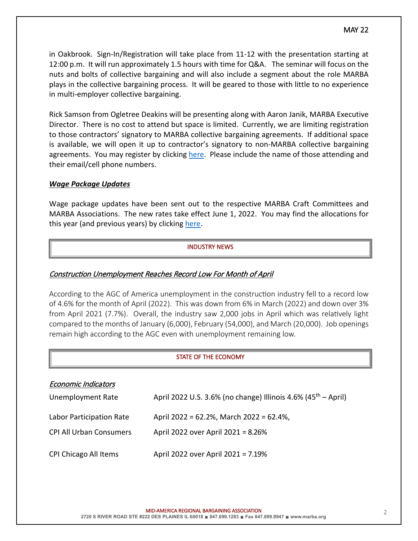in Oakbrook. Sign-In/Registration will take place from 11-12 with the presentation starting at 12:00 p.m. It will run approximately 1.5 hours with time for Q&A. The seminar will focus on the nuts and bolts of collective bargaining and will also include a segment about the role MARBA plays in the collective bargaining process. It will be geared to those with little to no experience in multi-employer collective bargaining.

Rick Samson from Ogletree Deakins will be presenting along with Aaron Janik, MARBA Executive Director. There is no cost to attend but space is limited. Currently, we are limiting registration to those contractors' signatory to MARBA collective bargaining agreements. If additional space is available, we will open it up to contractor's signatory to non-MARBA collective bargaining agreements. You may register by clicking [here.](mailto:ajanik@marba.org?subject=MARBA%20CBA%20Seminar) Please include the name of those attending and their email/cell phone numbers.

## *Wage Package Updates*

Wage package updates have been sent out to the respective MARBA Craft Committees and MARBA Associations. The new rates take effect June 1, 2022. You may find the allocations for this year (and previous years) by clicking [here.](https://www.marba.org/wages)

## INDUSTRY NEWS

## Construction Unemployment Reaches Record Low For Month of April

According to the AGC of America unemployment in the construction industry fell to a record low of 4.6% for the month of April (2022). This was down from 6% in March (2022) and down over 3% from April 2021 (7.7%). Overall, the industry saw 2,000 jobs in April which was relatively light compared to the months of January (6,000), February (54,000), and March (20,000). Job openings remain high according to the AGC even with unemployment remaining low.

#### STATE OF THE ECONOMY

| <b>Economic Indicators</b>     |                                                                           |
|--------------------------------|---------------------------------------------------------------------------|
| Unemployment Rate              | April 2022 U.S. 3.6% (no change) Illinois 4.6% (45 <sup>th</sup> – April) |
| Labor Participation Rate       | April 2022 = 62.2%, March 2022 = 62.4%,                                   |
| <b>CPI All Urban Consumers</b> | April 2022 over April 2021 = 8.26%                                        |
| CPI Chicago All Items          | April 2022 over April 2021 = 7.19%                                        |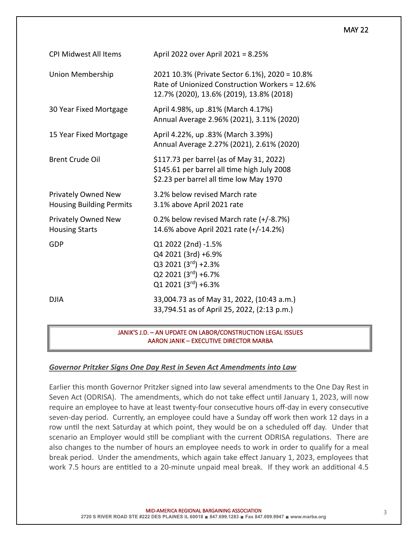#### MAY 22

| <b>CPI Midwest All Items</b>                           | April 2022 over April 2021 = 8.25%                                                                                                           |
|--------------------------------------------------------|----------------------------------------------------------------------------------------------------------------------------------------------|
| Union Membership                                       | 2021 10.3% (Private Sector 6.1%), 2020 = 10.8%<br>Rate of Unionized Construction Workers = 12.6%<br>12.7% (2020), 13.6% (2019), 13.8% (2018) |
| 30 Year Fixed Mortgage                                 | April 4.98%, up .81% (March 4.17%)<br>Annual Average 2.96% (2021), 3.11% (2020)                                                              |
| 15 Year Fixed Mortgage                                 | April 4.22%, up .83% (March 3.39%)<br>Annual Average 2.27% (2021), 2.61% (2020)                                                              |
| <b>Brent Crude Oil</b>                                 | \$117.73 per barrel (as of May 31, 2022)<br>\$145.61 per barrel all time high July 2008<br>\$2.23 per barrel all time low May 1970           |
| Privately Owned New<br><b>Housing Building Permits</b> | 3.2% below revised March rate<br>3.1% above April 2021 rate                                                                                  |
| Privately Owned New<br><b>Housing Starts</b>           | 0.2% below revised March rate (+/-8.7%)<br>14.6% above April 2021 rate (+/-14.2%)                                                            |
| GDP                                                    | Q1 2022 (2nd) -1.5%<br>Q4 2021 (3rd) +6.9%<br>Q3 2021 (3rd) +2.3%<br>Q2 2021 (3rd) +6.7%<br>Q1 2021 (3rd) +6.3%                              |
| <b>DJIA</b>                                            | 33,004.73 as of May 31, 2022, (10:43 a.m.)<br>33,794.51 as of April 25, 2022, (2:13 p.m.)                                                    |

 JANIK'S J.D. – AN UPDATE ON LABOR/CONSTRUCTION LEGAL ISSUES AARON JANIK – EXECUTIVE DIRECTOR MARBA

#### *Governor Pritzker Signs One Day Rest in Seven Act Amendments into Law*

Earlier this month Governor Pritzker signed into law several amendments to the One Day Rest in Seven Act (ODRISA). The amendments, which do not take effect until January 1, 2023, will now require an employee to have at least twenty-four consecutive hours off-day in every consecutive seven-day period. Currently, an employee could have a Sunday off work then work 12 days in a row until the next Saturday at which point, they would be on a scheduled off day. Under that scenario an Employer would still be compliant with the current ODRISA regulations. There are also changes to the number of hours an employee needs to work in order to qualify for a meal break period. Under the amendments, which again take effect January 1, 2023, employees that work 7.5 hours are entitled to a 20-minute unpaid meal break. If they work an additional 4.5